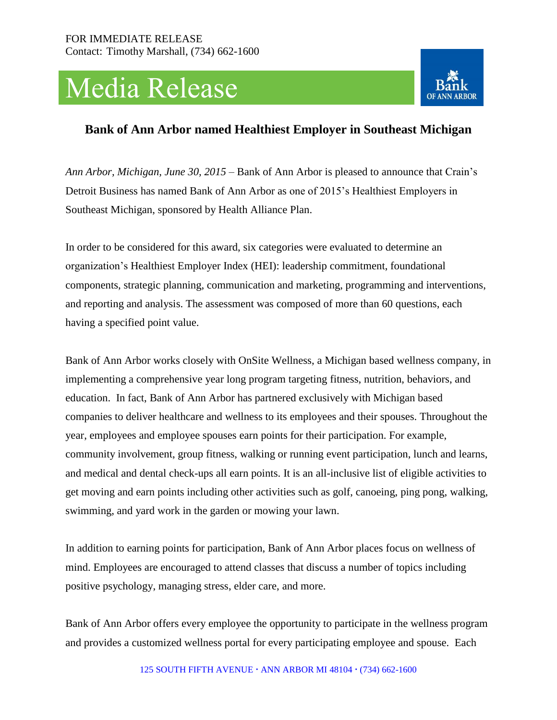## Media Release



## **Bank of Ann Arbor named Healthiest Employer in Southeast Michigan**

*Ann Arbor, Michigan, June 30, 2015* – Bank of Ann Arbor is pleased to announce that Crain's Detroit Business has named Bank of Ann Arbor as one of 2015's Healthiest Employers in Southeast Michigan, sponsored by Health Alliance Plan.

In order to be considered for this award, six categories were evaluated to determine an organization's Healthiest Employer Index (HEI): leadership commitment, foundational components, strategic planning, communication and marketing, programming and interventions, and reporting and analysis. The assessment was composed of more than 60 questions, each having a specified point value.

Bank of Ann Arbor works closely with OnSite Wellness, a Michigan based wellness company, in implementing a comprehensive year long program targeting fitness, nutrition, behaviors, and education. In fact, Bank of Ann Arbor has partnered exclusively with Michigan based companies to deliver healthcare and wellness to its employees and their spouses. Throughout the year, employees and employee spouses earn points for their participation. For example, community involvement, group fitness, walking or running event participation, lunch and learns, and medical and dental check-ups all earn points. It is an all-inclusive list of eligible activities to get moving and earn points including other activities such as golf, canoeing, ping pong, walking, swimming, and yard work in the garden or mowing your lawn.

In addition to earning points for participation, Bank of Ann Arbor places focus on wellness of mind. Employees are encouraged to attend classes that discuss a number of topics including positive psychology, managing stress, elder care, and more.

Bank of Ann Arbor offers every employee the opportunity to participate in the wellness program and provides a customized wellness portal for every participating employee and spouse. Each